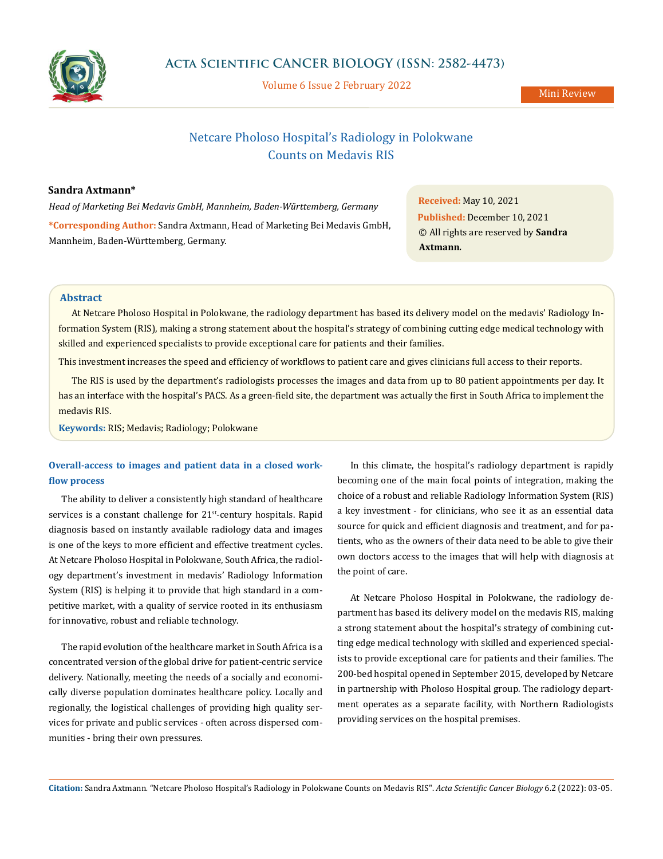

Volume 6 Issue 2 February 2022

Mini Review

# Netcare Pholoso Hospital's Radiology in Polokwane Counts on Medavis RIS

### **Sandra Axtmann\***

*Head of Marketing Bei Medavis GmbH, Mannheim, Baden-Württemberg, Germany* **\*Corresponding Author:** Sandra Axtmann, Head of Marketing Bei Medavis GmbH, Mannheim, Baden-Württemberg, Germany.

**Received:** May 10, 2021 **Published:** December 10, 2021 © All rights are reserved by **Sandra Axtmann***.*

# **Abstract**

At Netcare Pholoso Hospital in Polokwane, the radiology department has based its delivery model on the medavis' Radiology Information System (RIS), making a strong statement about the hospital's strategy of combining cutting edge medical technology with skilled and experienced specialists to provide exceptional care for patients and their families.

This investment increases the speed and efficiency of workflows to patient care and gives clinicians full access to their reports.

The RIS is used by the department's radiologists processes the images and data from up to 80 patient appointments per day. It has an interface with the hospital's PACS. As a green-field site, the department was actually the first in South Africa to implement the medavis RIS.

**Keywords:** RIS; Medavis; Radiology; Polokwane

# **Overall-access to images and patient data in a closed workflow process**

The ability to deliver a consistently high standard of healthcare services is a constant challenge for 21<sup>st</sup>-century hospitals. Rapid diagnosis based on instantly available radiology data and images is one of the keys to more efficient and effective treatment cycles. At Netcare Pholoso Hospital in Polokwane, South Africa, the radiology department's investment in medavis' Radiology Information System (RIS) is helping it to provide that high standard in a competitive market, with a quality of service rooted in its enthusiasm for innovative, robust and reliable technology.

The rapid evolution of the healthcare market in South Africa is a concentrated version of the global drive for patient-centric service delivery. Nationally, meeting the needs of a socially and economically diverse population dominates healthcare policy. Locally and regionally, the logistical challenges of providing high quality services for private and public services - often across dispersed communities - bring their own pressures.

In this climate, the hospital's radiology department is rapidly becoming one of the main focal points of integration, making the choice of a robust and reliable Radiology Information System (RIS) a key investment - for clinicians, who see it as an essential data source for quick and efficient diagnosis and treatment, and for patients, who as the owners of their data need to be able to give their own doctors access to the images that will help with diagnosis at the point of care.

At Netcare Pholoso Hospital in Polokwane, the radiology department has based its delivery model on the medavis RIS, making a strong statement about the hospital's strategy of combining cutting edge medical technology with skilled and experienced specialists to provide exceptional care for patients and their families. The 200-bed hospital opened in September 2015, developed by Netcare in partnership with Pholoso Hospital group. The radiology department operates as a separate facility, with Northern Radiologists providing services on the hospital premises.

**Citation:** Sandra Axtmann*.* "Netcare Pholoso Hospital's Radiology in Polokwane Counts on Medavis RIS". *Acta Scientific Cancer Biology* 6.2 (2022): 03-05.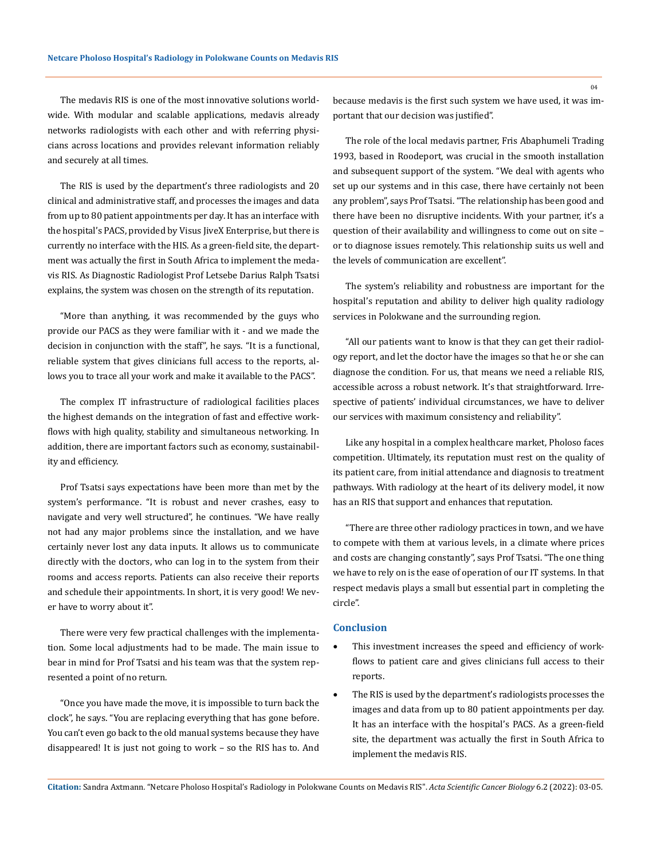The medavis RIS is one of the most innovative solutions worldwide. With modular and scalable applications, medavis already networks radiologists with each other and with referring physicians across locations and provides relevant information reliably and securely at all times.

The RIS is used by the department's three radiologists and 20 clinical and administrative staff, and processes the images and data from up to 80 patient appointments per day. It has an interface with the hospital's PACS, provided by Visus JiveX Enterprise, but there is currently no interface with the HIS. As a green-field site, the department was actually the first in South Africa to implement the medavis RIS. As Diagnostic Radiologist Prof Letsebe Darius Ralph Tsatsi explains, the system was chosen on the strength of its reputation.

"More than anything, it was recommended by the guys who provide our PACS as they were familiar with it - and we made the decision in conjunction with the staff", he says. "It is a functional, reliable system that gives clinicians full access to the reports, allows you to trace all your work and make it available to the PACS".

The complex IT infrastructure of radiological facilities places the highest demands on the integration of fast and effective workflows with high quality, stability and simultaneous networking. In addition, there are important factors such as economy, sustainability and efficiency.

Prof Tsatsi says expectations have been more than met by the system's performance. "It is robust and never crashes, easy to navigate and very well structured", he continues. "We have really not had any major problems since the installation, and we have certainly never lost any data inputs. It allows us to communicate directly with the doctors, who can log in to the system from their rooms and access reports. Patients can also receive their reports and schedule their appointments. In short, it is very good! We never have to worry about it".

There were very few practical challenges with the implementation. Some local adjustments had to be made. The main issue to bear in mind for Prof Tsatsi and his team was that the system represented a point of no return.

"Once you have made the move, it is impossible to turn back the clock", he says. "You are replacing everything that has gone before. You can't even go back to the old manual systems because they have disappeared! It is just not going to work – so the RIS has to. And because medavis is the first such system we have used, it was important that our decision was justified".

The role of the local medavis partner, Fris Abaphumeli Trading 1993, based in Roodeport, was crucial in the smooth installation and subsequent support of the system. "We deal with agents who set up our systems and in this case, there have certainly not been any problem", says Prof Tsatsi. "The relationship has been good and there have been no disruptive incidents. With your partner, it's a question of their availability and willingness to come out on site – or to diagnose issues remotely. This relationship suits us well and the levels of communication are excellent".

The system's reliability and robustness are important for the hospital's reputation and ability to deliver high quality radiology services in Polokwane and the surrounding region.

"All our patients want to know is that they can get their radiology report, and let the doctor have the images so that he or she can diagnose the condition. For us, that means we need a reliable RIS, accessible across a robust network. It's that straightforward. Irrespective of patients' individual circumstances, we have to deliver our services with maximum consistency and reliability".

Like any hospital in a complex healthcare market, Pholoso faces competition. Ultimately, its reputation must rest on the quality of its patient care, from initial attendance and diagnosis to treatment pathways. With radiology at the heart of its delivery model, it now has an RIS that support and enhances that reputation.

"There are three other radiology practices in town, and we have to compete with them at various levels, in a climate where prices and costs are changing constantly", says Prof Tsatsi. "The one thing we have to rely on is the ease of operation of our IT systems. In that respect medavis plays a small but essential part in completing the circle".

#### **Conclusion**

- This investment increases the speed and efficiency of workflows to patient care and gives clinicians full access to their reports.
- The RIS is used by the department's radiologists processes the images and data from up to 80 patient appointments per day. It has an interface with the hospital's PACS. As a green-field site, the department was actually the first in South Africa to implement the medavis RIS.

**Citation:** Sandra Axtmann*.* "Netcare Pholoso Hospital's Radiology in Polokwane Counts on Medavis RIS". *Acta Scientific Cancer Biology* 6.2 (2022): 03-05.

04